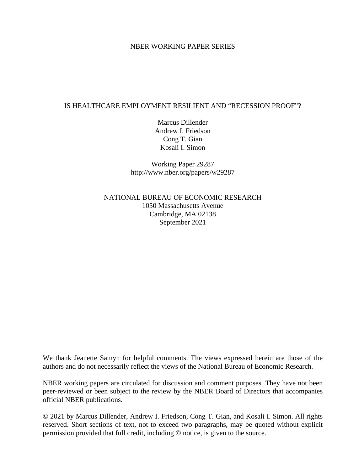### NBER WORKING PAPER SERIES

## IS HEALTHCARE EMPLOYMENT RESILIENT AND "RECESSION PROOF"?

Marcus Dillender Andrew I. Friedson Cong T. Gian Kosali I. Simon

Working Paper 29287 http://www.nber.org/papers/w29287

NATIONAL BUREAU OF ECONOMIC RESEARCH 1050 Massachusetts Avenue Cambridge, MA 02138 September 2021

We thank Jeanette Samyn for helpful comments. The views expressed herein are those of the authors and do not necessarily reflect the views of the National Bureau of Economic Research.

NBER working papers are circulated for discussion and comment purposes. They have not been peer-reviewed or been subject to the review by the NBER Board of Directors that accompanies official NBER publications.

© 2021 by Marcus Dillender, Andrew I. Friedson, Cong T. Gian, and Kosali I. Simon. All rights reserved. Short sections of text, not to exceed two paragraphs, may be quoted without explicit permission provided that full credit, including © notice, is given to the source.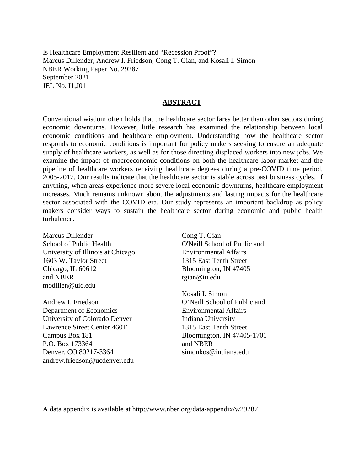Is Healthcare Employment Resilient and "Recession Proof"? Marcus Dillender, Andrew I. Friedson, Cong T. Gian, and Kosali I. Simon NBER Working Paper No. 29287 September 2021 JEL No. I1,J01

#### **ABSTRACT**

Conventional wisdom often holds that the healthcare sector fares better than other sectors during economic downturns. However, little research has examined the relationship between local economic conditions and healthcare employment. Understanding how the healthcare sector responds to economic conditions is important for policy makers seeking to ensure an adequate supply of healthcare workers, as well as for those directing displaced workers into new jobs. We examine the impact of macroeconomic conditions on both the healthcare labor market and the pipeline of healthcare workers receiving healthcare degrees during a pre-COVID time period, 2005-2017. Our results indicate that the healthcare sector is stable across past business cycles. If anything, when areas experience more severe local economic downturns, healthcare employment increases. Much remains unknown about the adjustments and lasting impacts for the healthcare sector associated with the COVID era. Our study represents an important backdrop as policy makers consider ways to sustain the healthcare sector during economic and public health turbulence.

Marcus Dillender School of Public Health University of Illinois at Chicago 1603 W. Taylor Street Chicago, IL 60612 and NBER modillen@uic.edu

Andrew I. Friedson Department of Economics University of Colorado Denver Lawrence Street Center 460T Campus Box 181 P.O. Box 173364 Denver, CO 80217-3364 andrew.friedson@ucdenver.edu

Cong T. Gian O'Neill School of Public and Environmental Affairs 1315 East Tenth Street Bloomington, IN 47405 tgian@iu.edu

Kosali I. Simon O'Neill School of Public and Environmental Affairs Indiana University 1315 East Tenth Street Bloomington, IN 47405-1701 and NBER simonkos@indiana.edu

A data appendix is available at http://www.nber.org/data-appendix/w29287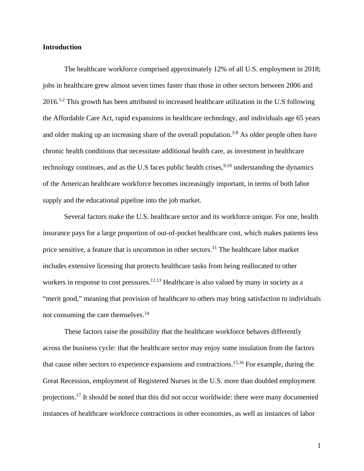#### **Introduction**

The healthcare workforce comprised approximately 12% of all U.S. employment in 2018; jobs in healthcare grew almost seven times faster than those in other sectors between 2006 and 2016.<sup>1,2</sup> This growth has been attributed to increased healthcare utilization in the U.S following the Affordable Care Act, rapid expansions in healthcare technology, and individuals age 65 years and older making up an increasing share of the overall population.<sup>3-8</sup> As older people often have chronic health conditions that necessitate additional health care, as investment in healthcare technology continues, and as the U.S faces public health crises,  $9,10$  understanding the dynamics of the American healthcare workforce becomes increasingly important, in terms of both labor supply and the educational pipeline into the job market.

Several factors make the U.S. healthcare sector and its workforce unique. For one, health insurance pays for a large proportion of out-of-pocket healthcare cost, which makes patients less price sensitive, a feature that is uncommon in other sectors.<sup>11</sup> The healthcare labor market includes extensive licensing that protects healthcare tasks from being reallocated to other workers in response to cost pressures.<sup>12,13</sup> Healthcare is also valued by many in society as a "merit good," meaning that provision of healthcare to others may bring satisfaction to individuals not consuming the care themselves.<sup>14</sup>

These factors raise the possibility that the healthcare workforce behaves differently across the business cycle: that the healthcare sector may enjoy some insulation from the factors that cause other sectors to experience expansions and contractions.<sup>15,16</sup> For example, during the Great Recession, employment of Registered Nurses in the U.S. more than doubled employment projections.17 It should be noted that this did not occur worldwide: there were many documented instances of healthcare workforce contractions in other economies, as well as instances of labor

1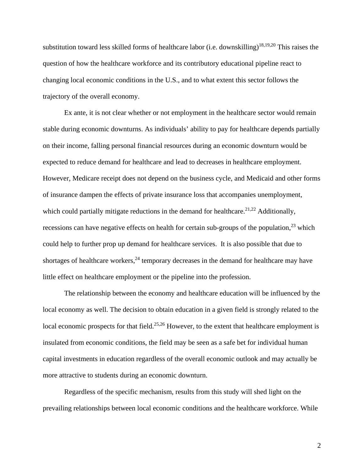substitution toward less skilled forms of healthcare labor (i.e. downskilling)<sup>18,19,20</sup> This raises the question of how the healthcare workforce and its contributory educational pipeline react to changing local economic conditions in the U.S., and to what extent this sector follows the trajectory of the overall economy.

Ex ante, it is not clear whether or not employment in the healthcare sector would remain stable during economic downturns. As individuals' ability to pay for healthcare depends partially on their income, falling personal financial resources during an economic downturn would be expected to reduce demand for healthcare and lead to decreases in healthcare employment. However, Medicare receipt does not depend on the business cycle, and Medicaid and other forms of insurance dampen the effects of private insurance loss that accompanies unemployment, which could partially mitigate reductions in the demand for healthcare.<sup>21,22</sup> Additionally, recessions can have negative effects on health for certain sub-groups of the population,  $^{23}$  which could help to further prop up demand for healthcare services. It is also possible that due to shortages of healthcare workers,  $24$  temporary decreases in the demand for healthcare may have little effect on healthcare employment or the pipeline into the profession.

The relationship between the economy and healthcare education will be influenced by the local economy as well. The decision to obtain education in a given field is strongly related to the local economic prospects for that field.<sup>25,26</sup> However, to the extent that healthcare employment is insulated from economic conditions, the field may be seen as a safe bet for individual human capital investments in education regardless of the overall economic outlook and may actually be more attractive to students during an economic downturn.

Regardless of the specific mechanism, results from this study will shed light on the prevailing relationships between local economic conditions and the healthcare workforce. While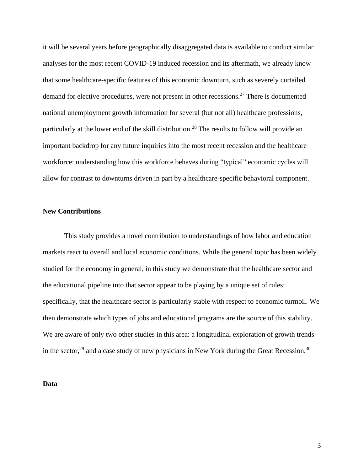it will be several years before geographically disaggregated data is available to conduct similar analyses for the most recent COVID-19 induced recession and its aftermath, we already know that some healthcare-specific features of this economic downturn, such as severely curtailed demand for elective procedures, were not present in other recessions.27 There is documented national unemployment growth information for several (but not all) healthcare professions, particularly at the lower end of the skill distribution.28 The results to follow will provide an important backdrop for any future inquiries into the most recent recession and the healthcare workforce: understanding how this workforce behaves during "typical" economic cycles will allow for contrast to downturns driven in part by a healthcare-specific behavioral component.

### **New Contributions**

 This study provides a novel contribution to understandings of how labor and education markets react to overall and local economic conditions. While the general topic has been widely studied for the economy in general, in this study we demonstrate that the healthcare sector and the educational pipeline into that sector appear to be playing by a unique set of rules: specifically, that the healthcare sector is particularly stable with respect to economic turmoil. We then demonstrate which types of jobs and educational programs are the source of this stability. We are aware of only two other studies in this area: a longitudinal exploration of growth trends in the sector,<sup>29</sup> and a case study of new physicians in New York during the Great Recession.<sup>30</sup>

#### **Data**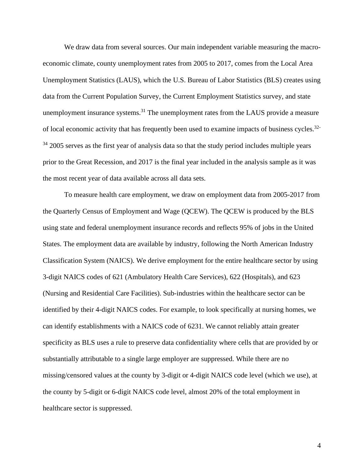We draw data from several sources. Our main independent variable measuring the macroeconomic climate, county unemployment rates from 2005 to 2017, comes from the Local Area Unemployment Statistics (LAUS), which the U.S. Bureau of Labor Statistics (BLS) creates using data from the Current Population Survey, the Current Employment Statistics survey, and state unemployment insurance systems.<sup>31</sup> The unemployment rates from the LAUS provide a measure of local economic activity that has frequently been used to examine impacts of business cycles.32-  $34\,2005$  serves as the first year of analysis data so that the study period includes multiple years prior to the Great Recession, and 2017 is the final year included in the analysis sample as it was the most recent year of data available across all data sets.

To measure health care employment, we draw on employment data from 2005-2017 from the Quarterly Census of Employment and Wage (QCEW). The QCEW is produced by the BLS using state and federal unemployment insurance records and reflects 95% of jobs in the United States. The employment data are available by industry, following the North American Industry Classification System (NAICS). We derive employment for the entire healthcare sector by using 3-digit NAICS codes of 621 (Ambulatory Health Care Services), 622 (Hospitals), and 623 (Nursing and Residential Care Facilities). Sub-industries within the healthcare sector can be identified by their 4-digit NAICS codes. For example, to look specifically at nursing homes, we can identify establishments with a NAICS code of 6231. We cannot reliably attain greater specificity as BLS uses a rule to preserve data confidentiality where cells that are provided by or substantially attributable to a single large employer are suppressed. While there are no missing/censored values at the county by 3-digit or 4-digit NAICS code level (which we use), at the county by 5-digit or 6-digit NAICS code level, almost 20% of the total employment in healthcare sector is suppressed.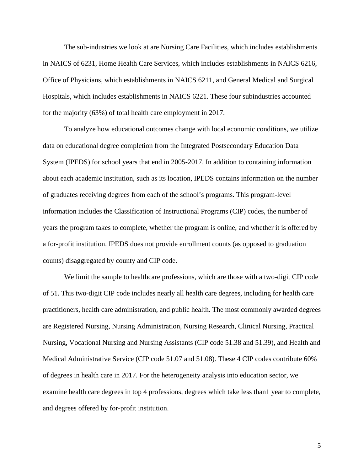The sub-industries we look at are Nursing Care Facilities, which includes establishments in NAICS of 6231, Home Health Care Services, which includes establishments in NAICS 6216, Office of Physicians, which establishments in NAICS 6211, and General Medical and Surgical Hospitals, which includes establishments in NAICS 6221. These four subindustries accounted for the majority (63%) of total health care employment in 2017.

To analyze how educational outcomes change with local economic conditions, we utilize data on educational degree completion from the Integrated Postsecondary Education Data System (IPEDS) for school years that end in 2005-2017. In addition to containing information about each academic institution, such as its location, IPEDS contains information on the number of graduates receiving degrees from each of the school's programs. This program-level information includes the Classification of Instructional Programs (CIP) codes, the number of years the program takes to complete, whether the program is online, and whether it is offered by a for-profit institution. IPEDS does not provide enrollment counts (as opposed to graduation counts) disaggregated by county and CIP code.

We limit the sample to healthcare professions, which are those with a two-digit CIP code of 51. This two-digit CIP code includes nearly all health care degrees, including for health care practitioners, health care administration, and public health. The most commonly awarded degrees are Registered Nursing, Nursing Administration, Nursing Research, Clinical Nursing, Practical Nursing, Vocational Nursing and Nursing Assistants (CIP code 51.38 and 51.39), and Health and Medical Administrative Service (CIP code 51.07 and 51.08). These 4 CIP codes contribute 60% of degrees in health care in 2017. For the heterogeneity analysis into education sector, we examine health care degrees in top 4 professions, degrees which take less than1 year to complete, and degrees offered by for-profit institution.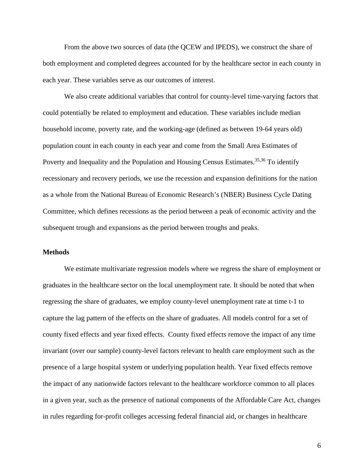From the above two sources of data (the QCEW and IPEDS), we construct the share of both employment and completed degrees accounted for by the healthcare sector in each county in each year. These variables serve as our outcomes of interest.

We also create additional variables that control for county-level time-varying factors that could potentially be related to employment and education. These variables include median household income, poverty rate, and the working-age (defined as between 19-64 years old) population count in each county in each year and come from the Small Area Estimates of Poverty and Inequality and the Population and Housing Census Estimates.<sup>35,36</sup> To identify recessionary and recovery periods, we use the recession and expansion definitions for the nation as a whole from the National Bureau of Economic Research's (NBER) Business Cycle Dating Committee, which defines recessions as the period between a peak of economic activity and the subsequent trough and expansions as the period between troughs and peaks.

### **Methods**

We estimate multivariate regression models where we regress the share of employment or graduates in the healthcare sector on the local unemployment rate. It should be noted that when regressing the share of graduates, we employ county-level unemployment rate at time t-1 to capture the lag pattern of the effects on the share of graduates. All models control for a set of county fixed effects and year fixed effects. County fixed effects remove the impact of any time invariant (over our sample) county-level factors relevant to health care employment such as the presence of a large hospital system or underlying population health. Year fixed effects remove the impact of any nationwide factors relevant to the healthcare workforce common to all places in a given year, such as the presence of national components of the Affordable Care Act, changes in rules regarding for-profit colleges accessing federal financial aid, or changes in healthcare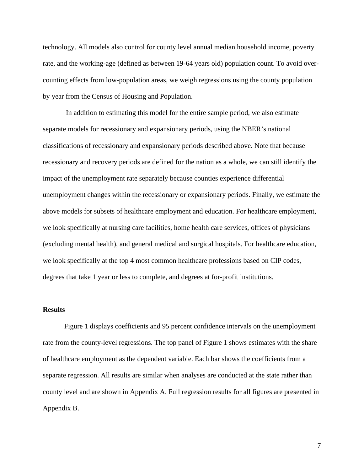technology. All models also control for county level annual median household income, poverty rate, and the working-age (defined as between 19-64 years old) population count. To avoid overcounting effects from low-population areas, we weigh regressions using the county population by year from the Census of Housing and Population.

In addition to estimating this model for the entire sample period, we also estimate separate models for recessionary and expansionary periods, using the NBER's national classifications of recessionary and expansionary periods described above. Note that because recessionary and recovery periods are defined for the nation as a whole, we can still identify the impact of the unemployment rate separately because counties experience differential unemployment changes within the recessionary or expansionary periods. Finally, we estimate the above models for subsets of healthcare employment and education. For healthcare employment, we look specifically at nursing care facilities, home health care services, offices of physicians (excluding mental health), and general medical and surgical hospitals. For healthcare education, we look specifically at the top 4 most common healthcare professions based on CIP codes, degrees that take 1 year or less to complete, and degrees at for-profit institutions.

#### **Results**

Figure 1 displays coefficients and 95 percent confidence intervals on the unemployment rate from the county-level regressions. The top panel of Figure 1 shows estimates with the share of healthcare employment as the dependent variable. Each bar shows the coefficients from a separate regression. All results are similar when analyses are conducted at the state rather than county level and are shown in Appendix A. Full regression results for all figures are presented in Appendix B.

7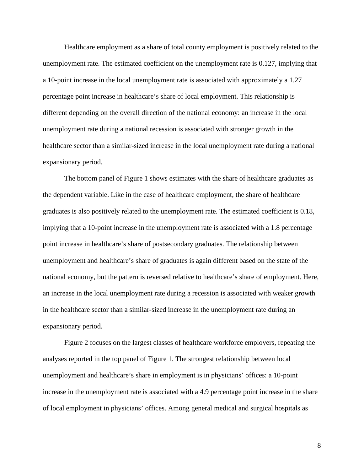Healthcare employment as a share of total county employment is positively related to the unemployment rate. The estimated coefficient on the unemployment rate is 0.127, implying that a 10-point increase in the local unemployment rate is associated with approximately a 1.27 percentage point increase in healthcare's share of local employment. This relationship is different depending on the overall direction of the national economy: an increase in the local unemployment rate during a national recession is associated with stronger growth in the healthcare sector than a similar-sized increase in the local unemployment rate during a national expansionary period.

The bottom panel of Figure 1 shows estimates with the share of healthcare graduates as the dependent variable. Like in the case of healthcare employment, the share of healthcare graduates is also positively related to the unemployment rate. The estimated coefficient is 0.18, implying that a 10-point increase in the unemployment rate is associated with a 1.8 percentage point increase in healthcare's share of postsecondary graduates. The relationship between unemployment and healthcare's share of graduates is again different based on the state of the national economy, but the pattern is reversed relative to healthcare's share of employment. Here, an increase in the local unemployment rate during a recession is associated with weaker growth in the healthcare sector than a similar-sized increase in the unemployment rate during an expansionary period.

Figure 2 focuses on the largest classes of healthcare workforce employers, repeating the analyses reported in the top panel of Figure 1. The strongest relationship between local unemployment and healthcare's share in employment is in physicians' offices: a 10-point increase in the unemployment rate is associated with a 4.9 percentage point increase in the share of local employment in physicians' offices. Among general medical and surgical hospitals as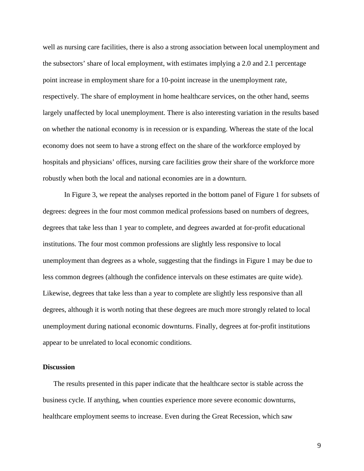well as nursing care facilities, there is also a strong association between local unemployment and the subsectors' share of local employment, with estimates implying a 2.0 and 2.1 percentage point increase in employment share for a 10-point increase in the unemployment rate, respectively. The share of employment in home healthcare services, on the other hand, seems largely unaffected by local unemployment. There is also interesting variation in the results based on whether the national economy is in recession or is expanding. Whereas the state of the local economy does not seem to have a strong effect on the share of the workforce employed by hospitals and physicians' offices, nursing care facilities grow their share of the workforce more robustly when both the local and national economies are in a downturn.

In Figure 3, we repeat the analyses reported in the bottom panel of Figure 1 for subsets of degrees: degrees in the four most common medical professions based on numbers of degrees, degrees that take less than 1 year to complete, and degrees awarded at for-profit educational institutions. The four most common professions are slightly less responsive to local unemployment than degrees as a whole, suggesting that the findings in Figure 1 may be due to less common degrees (although the confidence intervals on these estimates are quite wide). Likewise, degrees that take less than a year to complete are slightly less responsive than all degrees, although it is worth noting that these degrees are much more strongly related to local unemployment during national economic downturns. Finally, degrees at for-profit institutions appear to be unrelated to local economic conditions.

### **Discussion**

The results presented in this paper indicate that the healthcare sector is stable across the business cycle. If anything, when counties experience more severe economic downturns, healthcare employment seems to increase. Even during the Great Recession, which saw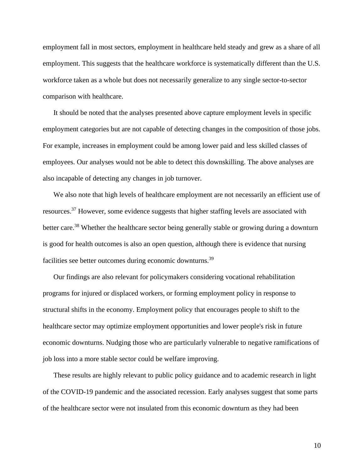employment fall in most sectors, employment in healthcare held steady and grew as a share of all employment. This suggests that the healthcare workforce is systematically different than the U.S. workforce taken as a whole but does not necessarily generalize to any single sector-to-sector comparison with healthcare.

It should be noted that the analyses presented above capture employment levels in specific employment categories but are not capable of detecting changes in the composition of those jobs. For example, increases in employment could be among lower paid and less skilled classes of employees. Our analyses would not be able to detect this downskilling. The above analyses are also incapable of detecting any changes in job turnover.

We also note that high levels of healthcare employment are not necessarily an efficient use of resources.37 However, some evidence suggests that higher staffing levels are associated with better care.<sup>38</sup> Whether the healthcare sector being generally stable or growing during a downturn is good for health outcomes is also an open question, although there is evidence that nursing facilities see better outcomes during economic downturns.39

Our findings are also relevant for policymakers considering vocational rehabilitation programs for injured or displaced workers, or forming employment policy in response to structural shifts in the economy. Employment policy that encourages people to shift to the healthcare sector may optimize employment opportunities and lower people's risk in future economic downturns. Nudging those who are particularly vulnerable to negative ramifications of job loss into a more stable sector could be welfare improving.

These results are highly relevant to public policy guidance and to academic research in light of the COVID-19 pandemic and the associated recession. Early analyses suggest that some parts of the healthcare sector were not insulated from this economic downturn as they had been

10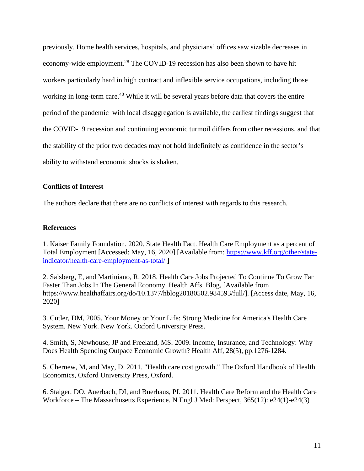previously. Home health services, hospitals, and physicians' offices saw sizable decreases in economy-wide employment.<sup>28</sup> The COVID-19 recession has also been shown to have hit workers particularly hard in high contract and inflexible service occupations, including those working in long-term care.<sup>40</sup> While it will be several years before data that covers the entire period of the pandemic with local disaggregation is available, the earliest findings suggest that the COVID-19 recession and continuing economic turmoil differs from other recessions, and that the stability of the prior two decades may not hold indefinitely as confidence in the sector's ability to withstand economic shocks is shaken.

# **Conflicts of Interest**

The authors declare that there are no conflicts of interest with regards to this research.

# **References**

1. Kaiser Family Foundation. 2020. State Health Fact. Health Care Employment as a percent of Total Employment [Accessed: May, 16, 2020] [Available from: [https://www.kff.org/other/state](https://www.kff.org/other/state-indicator/health-care-employment-as-total/)[indicator/health-care-employment-as-total/](https://www.kff.org/other/state-indicator/health-care-employment-as-total/) ]

2. Salsberg, E, and Martiniano, R. 2018. Health Care Jobs Projected To Continue To Grow Far Faster Than Jobs In The General Economy. Health Affs. Blog, [Available from https://www.healthaffairs.org/do/10.1377/hblog20180502.984593/full/]. [Access date, May, 16, 2020]

3. Cutler, DM, 2005. Your Money or Your Life: Strong Medicine for America's Health Care System. New York. New York. Oxford University Press.

4. Smith, S, Newhouse, JP and Freeland, MS. 2009. Income, Insurance, and Technology: Why Does Health Spending Outpace Economic Growth? Health Aff, 28(5), pp.1276-1284.

5. Chernew, M, and May, D. 2011. "Health care cost growth." The Oxford Handbook of Health Economics, Oxford University Press, Oxford.

6. Staiger, DO, Auerbach, DI, and Buerhaus, PI. 2011. Health Care Reform and the Health Care Workforce – The Massachusetts Experience. N Engl J Med: Perspect, 365(12): e24(1)-e24(3)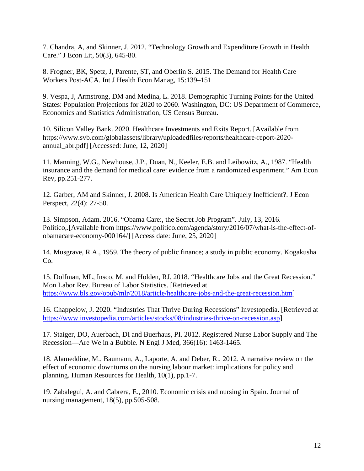7. Chandra, A, and Skinner, J. 2012. "Technology Growth and Expenditure Growth in Health Care." J Econ Lit, 50(3), 645-80.

8. Frogner, BK, Spetz, J, Parente, ST, and Oberlin S. 2015. The Demand for Health Care Workers Post-ACA. Int J Health Econ Manag, 15:139–151

9. Vespa, J, Armstrong, DM and Medina, L. 2018. Demographic Turning Points for the United States: Population Projections for 2020 to 2060. Washington, DC: US Department of Commerce, Economics and Statistics Administration, US Census Bureau.

10. Silicon Valley Bank. 2020. Healthcare Investments and Exits Report. [Available from https://www.svb.com/globalassets/library/uploadedfiles/reports/healthcare-report-2020 annual\_abr.pdf] [Accessed: June, 12, 2020]

11. Manning, W.G., Newhouse, J.P., Duan, N., Keeler, E.B. and Leibowitz, A., 1987. "Health insurance and the demand for medical care: evidence from a randomized experiment." Am Econ Rev, pp.251-277.

12. Garber, AM and Skinner, J. 2008. Is American Health Care Uniquely Inefficient?. J Econ Perspect, 22(4): 27-50.

13. Simpson, Adam. 2016. "Obama Care:, the Secret Job Program". July, 13, 2016. Politico,.[Available from https://www.politico.com/agenda/story/2016/07/what-is-the-effect-ofobamacare-economy-000164/] [Access date: June, 25, 2020]

14. Musgrave, R.A., 1959. The theory of public finance; a study in public economy. Kogakusha Co.

15. Dolfman, ML, Insco, M, and Holden, RJ. 2018. "Healthcare Jobs and the Great Recession." Mon Labor Rev. Bureau of Labor Statistics. [Retrieved at [https://www.bls.gov/opub/mlr/2018/article/healthcare-jobs-and-the-great-recession.htm\]](https://www.bls.gov/opub/mlr/2018/article/healthcare-jobs-and-the-great-recession.htm)

16. Chappelow, J. 2020. "Industries That Thrive During Recessions" Investopedia. [Retrieved at [https://www.investopedia.com/articles/stocks/08/industries-thrive-on-recession.asp\]](https://www.investopedia.com/articles/stocks/08/industries-thrive-on-recession.asp)

17. Staiger, DO, Auerbach, DI and Buerhaus, PI. 2012. Registered Nurse Labor Supply and The Recession—Are We in a Bubble. N Engl J Med, 366(16): 1463-1465.

18. Alameddine, M., Baumann, A., Laporte, A. and Deber, R., 2012. A narrative review on the effect of economic downturns on the nursing labour market: implications for policy and planning. Human Resources for Health, 10(1), pp.1-7.

19. Zabalegui, A. and Cabrera, E., 2010. Economic crisis and nursing in Spain. Journal of nursing management, 18(5), pp.505-508.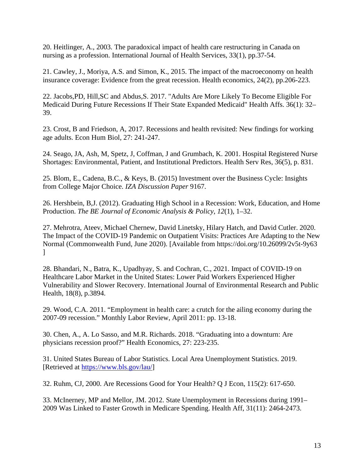20. Heitlinger, A., 2003. The paradoxical impact of health care restructuring in Canada on nursing as a profession. International Journal of Health Services, 33(1), pp.37-54.

21. Cawley, J., Moriya, A.S. and Simon, K., 2015. The impact of the macroeconomy on health insurance coverage: Evidence from the great recession. Health economics, 24(2), pp.206-223.

22. Jacobs,PD, Hill,SC and Abdus,S. 2017. "Adults Are More Likely To Become Eligible For Medicaid During Future Recessions If Their State Expanded Medicaid" Health Affs. 36(1): 32– 39.

23. Crost, B and Friedson, A, 2017. Recessions and health revisited: New findings for working age adults. Econ Hum Biol, 27: 241-247.

24. Seago, JA, Ash, M, Spetz, J, Coffman, J and Grumbach, K. 2001. Hospital Registered Nurse Shortages: Environmental, Patient, and Institutional Predictors. Health Serv Res, 36(5), p. 831.

25. Blom, E., Cadena, B.C., & Keys, B. (2015) Investment over the Business Cycle: Insights from College Major Choice. *IZA Discussion Paper* 9167.

26. Hershbein, B,J. (2012). Graduating High School in a Recession: Work, Education, and Home Production. *The BE Journal of Economic Analysis & Policy*, *12*(1), 1–32.

27. Mehrotra, Ateev, Michael Chernew, David Linetsky, Hilary Hatch, and David Cutler. 2020. The Impact of the COVID-19 Pandemic on Outpatient Visits: Practices Are Adapting to the New Normal (Commonwealth Fund, June 2020). [Available from https://doi.org/10.26099/2v5t-9y63  $\mathbf{I}$ 

28. Bhandari, N., Batra, K., Upadhyay, S. and Cochran, C., 2021. Impact of COVID-19 on Healthcare Labor Market in the United States: Lower Paid Workers Experienced Higher Vulnerability and Slower Recovery. International Journal of Environmental Research and Public Health, 18(8), p.3894.

29. Wood, C.A. 2011. "Employment in health care: a crutch for the ailing economy during the 2007-09 recession." Monthly Labor Review, April 2011: pp. 13-18.

30. Chen, A., A. Lo Sasso, and M.R. Richards. 2018. "Graduating into a downturn: Are physicians recession proof?" Health Economics, 27: 223-235.

31. United States Bureau of Labor Statistics. Local Area Unemployment Statistics. 2019. [Retrieved at [https://www.bls.gov/lau/\]](https://www.bls.gov/lau/)

32. Ruhm, CJ, 2000. Are Recessions Good for Your Health? Q J Econ, 115(2): 617-650.

33. McInerney, MP and Mellor, JM. 2012. State Unemployment in Recessions during 1991– 2009 Was Linked to Faster Growth in Medicare Spending. Health Aff, 31(11): 2464-2473.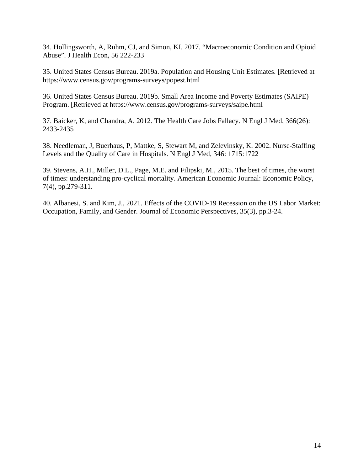34. Hollingsworth, A, Ruhm, CJ, and Simon, KI. 2017. "Macroeconomic Condition and Opioid Abuse". J Health Econ, 56 222-233

35. United States Census Bureau. 2019a. Population and Housing Unit Estimates. [Retrieved at https://www.census.gov/programs-surveys/popest.html

36. United States Census Bureau. 2019b. Small Area Income and Poverty Estimates (SAIPE) Program. [Retrieved at https://www.census.gov/programs-surveys/saipe.html

37. Baicker, K, and Chandra, A. 2012. The Health Care Jobs Fallacy. N Engl J Med, 366(26): 2433-2435

38. Needleman, J, Buerhaus, P, Mattke, S, Stewart M, and Zelevinsky, K. 2002. Nurse-Staffing Levels and the Quality of Care in Hospitals. N Engl J Med, 346: 1715:1722

39. Stevens, A.H., Miller, D.L., Page, M.E. and Filipski, M., 2015. The best of times, the worst of times: understanding pro-cyclical mortality. American Economic Journal: Economic Policy, 7(4), pp.279-311.

40. Albanesi, S. and Kim, J., 2021. Effects of the COVID-19 Recession on the US Labor Market: Occupation, Family, and Gender. Journal of Economic Perspectives, 35(3), pp.3-24.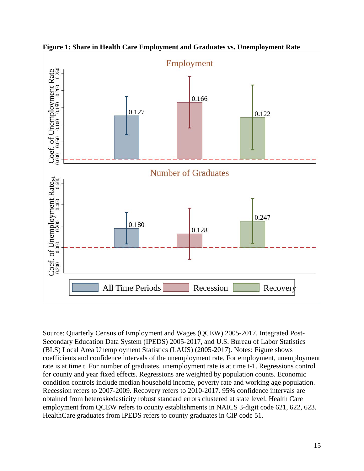

**Figure 1: Share in Health Care Employment and Graduates vs. Unemployment Rate**

Source: Quarterly Census of Employment and Wages (QCEW) 2005-2017, Integrated Post-Secondary Education Data System (IPEDS) 2005-2017, and U.S. Bureau of Labor Statistics (BLS) Local Area Unemployment Statistics (LAUS) (2005-2017). Notes: Figure shows coefficients and confidence intervals of the unemployment rate. For employment, unemployment rate is at time t. For number of graduates, unemployment rate is at time t-1. Regressions control for county and year fixed effects. Regressions are weighted by population counts. Economic condition controls include median household income, poverty rate and working age population. Recession refers to 2007-2009. Recovery refers to 2010-2017. 95% confidence intervals are obtained from heteroskedasticity robust standard errors clustered at state level. Health Care employment from QCEW refers to county establishments in NAICS 3-digit code 621, 622, 623. HealthCare graduates from IPEDS refers to county graduates in CIP code 51.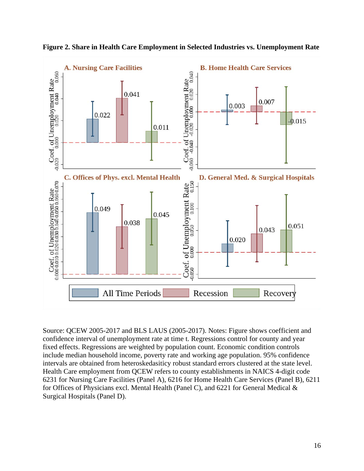

**Figure 2. Share in Health Care Employment in Selected Industries vs. Unemployment Rate**

Source: QCEW 2005-2017 and BLS LAUS (2005-2017). Notes: Figure shows coefficient and confidence interval of unemployment rate at time t. Regressions control for county and year fixed effects. Regressions are weighted by population count. Economic condition controls include median household income, poverty rate and working age population. 95% confidence intervals are obtained from heteroskedasiticy robust standard errors clustered at the state level. Health Care employment from QCEW refers to county establishments in NAICS 4-digit code 6231 for Nursing Care Facilities (Panel A), 6216 for Home Health Care Services (Panel B), 6211 for Offices of Physicians excl. Mental Health (Panel C), and 6221 for General Medical & Surgical Hospitals (Panel D).